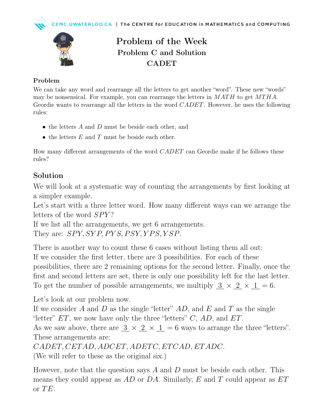



## Problem of the Week Problem C and Solution CADET

## Problem

We can take any word and rearrange all the letters to get another "word". These new "words" may be nonsensical. For example, you can rearrange the letters in  $MATH$  to get  $MTHA$ . Geordie wants to rearrange all the letters in the word *CADET*. However, he uses the following rules:

- $\bullet$  the letters A and D must be beside each other, and
- the letters  $E$  and  $T$  must be beside each other.

How many different arrangements of the word CADET can Geordie make if he follows these rules?

## Solution

We will look at a systematic way of counting the arrangements by first looking at a simpler example.

Let's start with a three letter word. How many different ways can we arrange the letters of the word  $SPY$ ?

If we list all the arrangements, we get 6 arrangements. They are:  $SPY, SYP, PYS, PSY, YPS, YSP.$ 

There is another way to count these 6 cases without listing them all out: If we consider the first letter, there are 3 possibilities. For each of these possibilities, there are 2 remaining options for the second letter. Finally, once the first and second letters are set, there is only one possibility left for the last letter. To get the number of possible arrangements, we multiply  $3 \times 2 \times 1 = 6$ .

Let's look at our problem now.

If we consider A and D as the single "letter"  $AD$ , and E and T as the single "letter"  $ET$ , we now have only the three "letters"  $C$ ,  $AD$ , and  $ET$ .

As we saw above, there are  $3 \times 2 \times 1 = 6$  ways to arrange the three "letters". These arrangements are:

CADET, CET AD, ADCET, ADET C, ET CAD, ET ADC.

(We will refer to these as the original six.)

However, note that the question says A and D must be beside each other. This means they could appear as  $AD$  or  $DA$ . Similarly, E and T could appear as  $ET$ or  $TE$ .